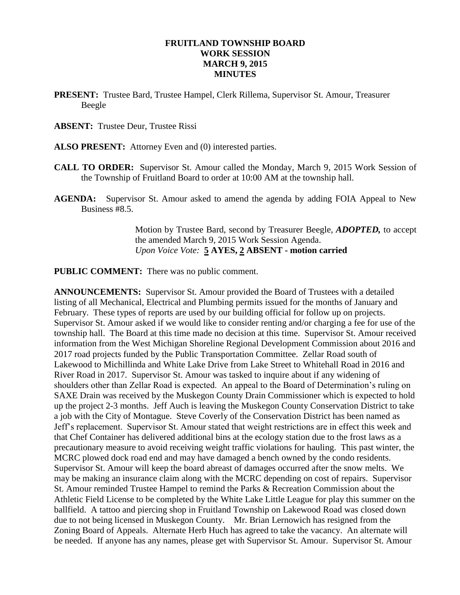### **FRUITLAND TOWNSHIP BOARD WORK SESSION MARCH 9, 2015 MINUTES**

- **PRESENT:** Trustee Bard, Trustee Hampel, Clerk Rillema, Supervisor St. Amour, Treasurer Beegle
- **ABSENT:** Trustee Deur, Trustee Rissi
- **ALSO PRESENT:** Attorney Even and (0) interested parties.
- **CALL TO ORDER:** Supervisor St. Amour called the Monday, March 9, 2015 Work Session of the Township of Fruitland Board to order at 10:00 AM at the township hall.
- **AGENDA:** Supervisor St. Amour asked to amend the agenda by adding FOIA Appeal to New Business #8.5.

Motion by Trustee Bard, second by Treasurer Beegle, *ADOPTED,* to accept the amended March 9, 2015 Work Session Agenda. *Upon Voice Vote:* **5 AYES, 2 ABSENT - motion carried**

**PUBLIC COMMENT:** There was no public comment.

**ANNOUNCEMENTS:** Supervisor St. Amour provided the Board of Trustees with a detailed listing of all Mechanical, Electrical and Plumbing permits issued for the months of January and February. These types of reports are used by our building official for follow up on projects. Supervisor St. Amour asked if we would like to consider renting and/or charging a fee for use of the township hall. The Board at this time made no decision at this time. Supervisor St. Amour received information from the West Michigan Shoreline Regional Development Commission about 2016 and 2017 road projects funded by the Public Transportation Committee. Zellar Road south of Lakewood to Michillinda and White Lake Drive from Lake Street to Whitehall Road in 2016 and River Road in 2017. Supervisor St. Amour was tasked to inquire about if any widening of shoulders other than Zellar Road is expected. An appeal to the Board of Determination's ruling on SAXE Drain was received by the Muskegon County Drain Commissioner which is expected to hold up the project 2-3 months. Jeff Auch is leaving the Muskegon County Conservation District to take a job with the City of Montague. Steve Coverly of the Conservation District has been named as Jeff's replacement. Supervisor St. Amour stated that weight restrictions are in effect this week and that Chef Container has delivered additional bins at the ecology station due to the frost laws as a precautionary measure to avoid receiving weight traffic violations for hauling. This past winter, the MCRC plowed dock road end and may have damaged a bench owned by the condo residents. Supervisor St. Amour will keep the board abreast of damages occurred after the snow melts. We may be making an insurance claim along with the MCRC depending on cost of repairs. Supervisor St. Amour reminded Trustee Hampel to remind the Parks & Recreation Commission about the Athletic Field License to be completed by the White Lake Little League for play this summer on the ballfield. A tattoo and piercing shop in Fruitland Township on Lakewood Road was closed down due to not being licensed in Muskegon County. Mr. Brian Lernowich has resigned from the Zoning Board of Appeals. Alternate Herb Huch has agreed to take the vacancy. An alternate will be needed. If anyone has any names, please get with Supervisor St. Amour. Supervisor St. Amour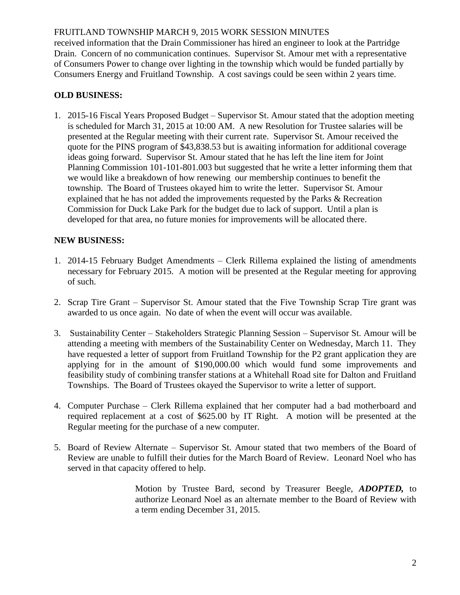### FRUITLAND TOWNSHIP MARCH 9, 2015 WORK SESSION MINUTES

received information that the Drain Commissioner has hired an engineer to look at the Partridge Drain. Concern of no communication continues. Supervisor St. Amour met with a representative of Consumers Power to change over lighting in the township which would be funded partially by Consumers Energy and Fruitland Township. A cost savings could be seen within 2 years time.

# **OLD BUSINESS:**

1. 2015-16 Fiscal Years Proposed Budget – Supervisor St. Amour stated that the adoption meeting is scheduled for March 31, 2015 at 10:00 AM. A new Resolution for Trustee salaries will be presented at the Regular meeting with their current rate. Supervisor St. Amour received the quote for the PINS program of \$43,838.53 but is awaiting information for additional coverage ideas going forward. Supervisor St. Amour stated that he has left the line item for Joint Planning Commission 101-101-801.003 but suggested that he write a letter informing them that we would like a breakdown of how renewing our membership continues to benefit the township. The Board of Trustees okayed him to write the letter. Supervisor St. Amour explained that he has not added the improvements requested by the Parks & Recreation Commission for Duck Lake Park for the budget due to lack of support. Until a plan is developed for that area, no future monies for improvements will be allocated there.

## **NEW BUSINESS:**

- 1. 2014-15 February Budget Amendments Clerk Rillema explained the listing of amendments necessary for February 2015. A motion will be presented at the Regular meeting for approving of such.
- 2. Scrap Tire Grant Supervisor St. Amour stated that the Five Township Scrap Tire grant was awarded to us once again. No date of when the event will occur was available.
- 3. Sustainability Center Stakeholders Strategic Planning Session Supervisor St. Amour will be attending a meeting with members of the Sustainability Center on Wednesday, March 11. They have requested a letter of support from Fruitland Township for the P2 grant application they are applying for in the amount of \$190,000.00 which would fund some improvements and feasibility study of combining transfer stations at a Whitehall Road site for Dalton and Fruitland Townships. The Board of Trustees okayed the Supervisor to write a letter of support.
- 4. Computer Purchase Clerk Rillema explained that her computer had a bad motherboard and required replacement at a cost of \$625.00 by IT Right. A motion will be presented at the Regular meeting for the purchase of a new computer.
- 5. Board of Review Alternate Supervisor St. Amour stated that two members of the Board of Review are unable to fulfill their duties for the March Board of Review. Leonard Noel who has served in that capacity offered to help.

Motion by Trustee Bard, second by Treasurer Beegle, *ADOPTED,* to authorize Leonard Noel as an alternate member to the Board of Review with a term ending December 31, 2015.